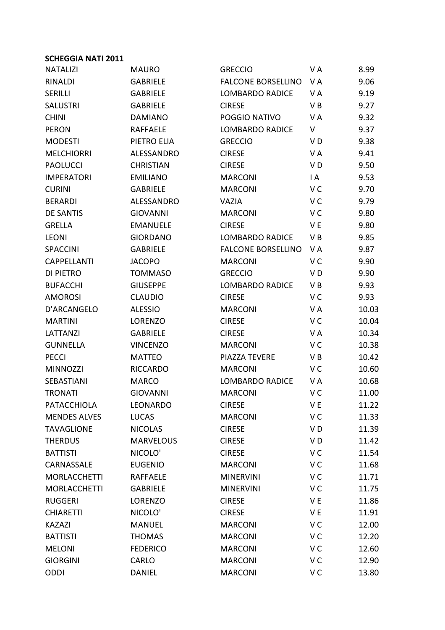| <b>NATALIZI</b>     | <b>MAURO</b>     | <b>GRECCIO</b>            | VA             | 8.99  |
|---------------------|------------------|---------------------------|----------------|-------|
| <b>RINALDI</b>      | <b>GABRIELE</b>  | <b>FALCONE BORSELLINO</b> | VA             | 9.06  |
| <b>SERILLI</b>      | <b>GABRIELE</b>  | <b>LOMBARDO RADICE</b>    | V A            | 9.19  |
| <b>SALUSTRI</b>     | <b>GABRIELE</b>  | <b>CIRESE</b>             | V B            | 9.27  |
| <b>CHINI</b>        | <b>DAMIANO</b>   | POGGIO NATIVO             | V A            | 9.32  |
| <b>PERON</b>        | <b>RAFFAELE</b>  | <b>LOMBARDO RADICE</b>    | V              | 9.37  |
| <b>MODESTI</b>      | PIETRO ELIA      | <b>GRECCIO</b>            | V D            | 9.38  |
| <b>MELCHIORRI</b>   | ALESSANDRO       | <b>CIRESE</b>             | V A            | 9.41  |
| <b>PAOLUCCI</b>     | <b>CHRISTIAN</b> | <b>CIRESE</b>             | V D            | 9.50  |
| <b>IMPERATORI</b>   | <b>EMILIANO</b>  | <b>MARCONI</b>            | $\mathsf{I}$ A | 9.53  |
| <b>CURINI</b>       | <b>GABRIELE</b>  | <b>MARCONI</b>            | V C            | 9.70  |
| <b>BERARDI</b>      | ALESSANDRO       | <b>VAZIA</b>              | V <sub>C</sub> | 9.79  |
| <b>DE SANTIS</b>    | <b>GIOVANNI</b>  | <b>MARCONI</b>            | V C            | 9.80  |
| <b>GRELLA</b>       | <b>EMANUELE</b>  | <b>CIRESE</b>             | V E            | 9.80  |
| <b>LEONI</b>        | <b>GIORDANO</b>  | <b>LOMBARDO RADICE</b>    | VB             | 9.85  |
| <b>SPACCINI</b>     | <b>GABRIELE</b>  | <b>FALCONE BORSELLINO</b> | V A            | 9.87  |
| <b>CAPPELLANTI</b>  | <b>JACOPO</b>    | <b>MARCONI</b>            | V <sub>C</sub> | 9.90  |
| <b>DI PIETRO</b>    | <b>TOMMASO</b>   | <b>GRECCIO</b>            | V D            | 9.90  |
| <b>BUFACCHI</b>     | <b>GIUSEPPE</b>  | <b>LOMBARDO RADICE</b>    | V B            | 9.93  |
| <b>AMOROSI</b>      | <b>CLAUDIO</b>   | <b>CIRESE</b>             | V <sub>C</sub> | 9.93  |
| D'ARCANGELO         | <b>ALESSIO</b>   | <b>MARCONI</b>            | V A            | 10.03 |
| <b>MARTINI</b>      | <b>LORENZO</b>   | <b>CIRESE</b>             | V C            | 10.04 |
| LATTANZI            | <b>GABRIELE</b>  | <b>CIRESE</b>             | V A            | 10.34 |
| <b>GUNNELLA</b>     | <b>VINCENZO</b>  | <b>MARCONI</b>            | V <sub>C</sub> | 10.38 |
| <b>PECCI</b>        | <b>MATTEO</b>    | <b>PIAZZA TEVERE</b>      | V B            | 10.42 |
| <b>MINNOZZI</b>     | <b>RICCARDO</b>  | <b>MARCONI</b>            | V C            | 10.60 |
| SEBASTIANI          | <b>MARCO</b>     | <b>LOMBARDO RADICE</b>    | VA             | 10.68 |
| <b>TRONATI</b>      | <b>GIOVANNI</b>  | <b>MARCONI</b>            | V <sub>C</sub> | 11.00 |
| <b>PATACCHIOLA</b>  | <b>LEONARDO</b>  | <b>CIRESE</b>             | V E            | 11.22 |
| <b>MENDES ALVES</b> | <b>LUCAS</b>     | <b>MARCONI</b>            | V <sub>C</sub> | 11.33 |
| <b>TAVAGLIONE</b>   | <b>NICOLAS</b>   | <b>CIRESE</b>             | VD             | 11.39 |
| <b>THERDUS</b>      | <b>MARVELOUS</b> | <b>CIRESE</b>             | VD             | 11.42 |
| <b>BATTISTI</b>     | NICOLO'          | <b>CIRESE</b>             | V <sub>C</sub> | 11.54 |
| CARNASSALE          | <b>EUGENIO</b>   | <b>MARCONI</b>            | V <sub>C</sub> | 11.68 |
| <b>MORLACCHETTI</b> | <b>RAFFAELE</b>  | <b>MINERVINI</b>          | V C            | 11.71 |
| <b>MORLACCHETTI</b> | <b>GABRIELE</b>  | <b>MINERVINI</b>          | V <sub>C</sub> | 11.75 |
| <b>RUGGERI</b>      | LORENZO          | <b>CIRESE</b>             | V E            | 11.86 |
| <b>CHIARETTI</b>    | NICOLO'          | <b>CIRESE</b>             | V E            | 11.91 |
| <b>KAZAZI</b>       | <b>MANUEL</b>    | <b>MARCONI</b>            | V <sub>C</sub> | 12.00 |
| <b>BATTISTI</b>     | <b>THOMAS</b>    | <b>MARCONI</b>            | V <sub>C</sub> | 12.20 |
| <b>MELONI</b>       | <b>FEDERICO</b>  | <b>MARCONI</b>            | V C            | 12.60 |
| <b>GIORGINI</b>     | CARLO            | <b>MARCONI</b>            | V C            | 12.90 |
| <b>ODDI</b>         | <b>DANIEL</b>    | <b>MARCONI</b>            | V <sub>C</sub> | 13.80 |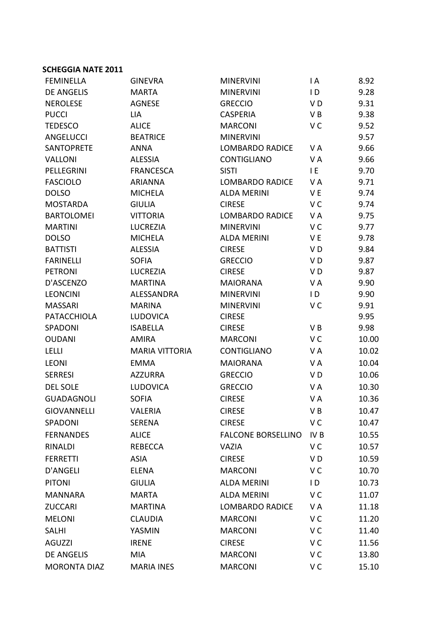| <b>FEMINELLA</b>    | <b>GINEVRA</b>        | <b>MINERVINI</b>          | $\mathsf{I}$ A  | 8.92  |
|---------------------|-----------------------|---------------------------|-----------------|-------|
| <b>DE ANGELIS</b>   | <b>MARTA</b>          | <b>MINERVINI</b>          | $\overline{D}$  | 9.28  |
| <b>NEROLESE</b>     | <b>AGNESE</b>         | <b>GRECCIO</b>            | V <sub>D</sub>  | 9.31  |
| <b>PUCCI</b>        | LIA                   | <b>CASPERIA</b>           | VB              | 9.38  |
| <b>TEDESCO</b>      | <b>ALICE</b>          | <b>MARCONI</b>            | V <sub>C</sub>  | 9.52  |
| ANGELUCCI           | <b>BEATRICE</b>       | <b>MINERVINI</b>          |                 | 9.57  |
| <b>SANTOPRETE</b>   | <b>ANNA</b>           | <b>LOMBARDO RADICE</b>    | V A             | 9.66  |
| <b>VALLONI</b>      | <b>ALESSIA</b>        | <b>CONTIGLIANO</b>        | V A             | 9.66  |
| PELLEGRINI          | <b>FRANCESCA</b>      | <b>SISTI</b>              | I E             | 9.70  |
| <b>FASCIOLO</b>     | <b>ARIANNA</b>        | <b>LOMBARDO RADICE</b>    | V A             | 9.71  |
| <b>DOLSO</b>        | <b>MICHELA</b>        | <b>ALDA MERINI</b>        | V E             | 9.74  |
| <b>MOSTARDA</b>     | <b>GIULIA</b>         | <b>CIRESE</b>             | V <sub>C</sub>  | 9.74  |
| <b>BARTOLOMEI</b>   | <b>VITTORIA</b>       | <b>LOMBARDO RADICE</b>    | VA              | 9.75  |
| <b>MARTINI</b>      | <b>LUCREZIA</b>       | <b>MINERVINI</b>          | V <sub>C</sub>  | 9.77  |
| <b>DOLSO</b>        | <b>MICHELA</b>        | <b>ALDA MERINI</b>        | V E             | 9.78  |
| <b>BATTISTI</b>     | <b>ALESSIA</b>        | <b>CIRESE</b>             | V <sub>D</sub>  | 9.84  |
| <b>FARINELLI</b>    | <b>SOFIA</b>          | <b>GRECCIO</b>            | VD              | 9.87  |
| <b>PETRONI</b>      | <b>LUCREZIA</b>       | <b>CIRESE</b>             | VD              | 9.87  |
| D'ASCENZO           | <b>MARTINA</b>        | <b>MAIORANA</b>           | VA              | 9.90  |
| <b>LEONCINI</b>     | ALESSANDRA            | <b>MINERVINI</b>          | $\overline{D}$  | 9.90  |
| <b>MASSARI</b>      | <b>MARINA</b>         | <b>MINERVINI</b>          | V <sub>C</sub>  | 9.91  |
| <b>PATACCHIOLA</b>  | <b>LUDOVICA</b>       | <b>CIRESE</b>             |                 | 9.95  |
| SPADONI             | <b>ISABELLA</b>       | <b>CIRESE</b>             | VB              | 9.98  |
| <b>OUDANI</b>       | <b>AMIRA</b>          | <b>MARCONI</b>            | V <sub>C</sub>  | 10.00 |
| <b>LELLI</b>        | <b>MARIA VITTORIA</b> | CONTIGLIANO               | V A             | 10.02 |
| <b>LEONI</b>        | <b>EMMA</b>           | <b>MAIORANA</b>           | V A             | 10.04 |
| <b>SERRESI</b>      | <b>AZZURRA</b>        | <b>GRECCIO</b>            | V <sub>D</sub>  | 10.06 |
| <b>DEL SOLE</b>     | <b>LUDOVICA</b>       | <b>GRECCIO</b>            | V A             | 10.30 |
| <b>GUADAGNOLI</b>   | <b>SOFIA</b>          | <b>CIRESE</b>             | VA              | 10.36 |
| GIOVANNELLI         | VALERIA               | <b>CIRESE</b>             | VB              | 10.47 |
| SPADONI             | <b>SERENA</b>         | <b>CIRESE</b>             | V C             | 10.47 |
| <b>FERNANDES</b>    | <b>ALICE</b>          | <b>FALCONE BORSELLINO</b> | IV <sub>B</sub> | 10.55 |
| <b>RINALDI</b>      | REBECCA               | VAZIA                     | V <sub>C</sub>  | 10.57 |
| <b>FERRETTI</b>     | <b>ASIA</b>           | <b>CIRESE</b>             | V <sub>D</sub>  | 10.59 |
| <b>D'ANGELI</b>     | <b>ELENA</b>          | <b>MARCONI</b>            | V <sub>C</sub>  | 10.70 |
| <b>PITONI</b>       | <b>GIULIA</b>         | <b>ALDA MERINI</b>        | $\overline{D}$  | 10.73 |
| <b>MANNARA</b>      | <b>MARTA</b>          | <b>ALDA MERINI</b>        | V <sub>C</sub>  | 11.07 |
| <b>ZUCCARI</b>      | <b>MARTINA</b>        | <b>LOMBARDO RADICE</b>    | V A             | 11.18 |
| <b>MELONI</b>       | <b>CLAUDIA</b>        | <b>MARCONI</b>            | V <sub>C</sub>  | 11.20 |
| <b>SALHI</b>        | YASMIN                | <b>MARCONI</b>            | V <sub>C</sub>  | 11.40 |
| <b>AGUZZI</b>       | <b>IRENE</b>          | <b>CIRESE</b>             | V C             | 11.56 |
|                     |                       |                           | V <sub>C</sub>  |       |
| <b>DE ANGELIS</b>   | MIA                   | <b>MARCONI</b>            |                 | 13.80 |
| <b>MORONTA DIAZ</b> | <b>MARIA INES</b>     | <b>MARCONI</b>            | V <sub>C</sub>  | 15.10 |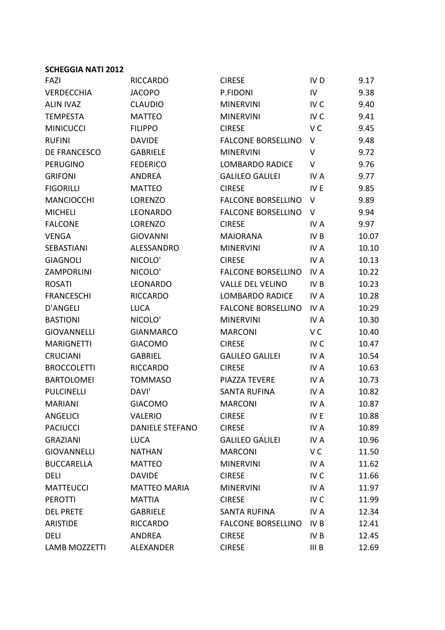| FAZI                 | <b>RICCARDO</b>        | <b>CIRESE</b>             | IV <sub>D</sub>  | 9.17  |
|----------------------|------------------------|---------------------------|------------------|-------|
| VERDECCHIA           | <b>JACOPO</b>          | P.FIDONI                  | IV               | 9.38  |
| <b>ALIN IVAZ</b>     | <b>CLAUDIO</b>         | <b>MINERVINI</b>          | IV <sub>C</sub>  | 9.40  |
| <b>TEMPESTA</b>      | <b>MATTEO</b>          | <b>MINERVINI</b>          | IV <sub>C</sub>  | 9.41  |
| <b>MINICUCCI</b>     | <b>FILIPPO</b>         | <b>CIRESE</b>             | V C              | 9.45  |
| <b>RUFINI</b>        | <b>DAVIDE</b>          | <b>FALCONE BORSELLINO</b> | V                | 9.48  |
| <b>DE FRANCESCO</b>  | <b>GABRIELE</b>        | <b>MINERVINI</b>          | V                | 9.72  |
| <b>PERUGINO</b>      | <b>FEDERICO</b>        | <b>LOMBARDO RADICE</b>    | V                | 9.76  |
| <b>GRIFONI</b>       | <b>ANDREA</b>          | <b>GALILEO GALILEI</b>    | IV A             | 9.77  |
| <b>FIGORILLI</b>     | <b>MATTEO</b>          | <b>CIRESE</b>             | IV E             | 9.85  |
| <b>MANCIOCCHI</b>    | <b>LORENZO</b>         | <b>FALCONE BORSELLINO</b> | V                | 9.89  |
| <b>MICHELI</b>       | LEONARDO               | <b>FALCONE BORSELLINO</b> | V                | 9.94  |
| <b>FALCONE</b>       | LORENZO                | <b>CIRESE</b>             | IV A             | 9.97  |
| <b>VENGA</b>         | <b>GIOVANNI</b>        | <b>MAIORANA</b>           | IV <sub>B</sub>  | 10.07 |
| SEBASTIANI           | ALESSANDRO             | <b>MINERVINI</b>          | IV A             | 10.10 |
| <b>GIAGNOLI</b>      | NICOLO'                | <b>CIRESE</b>             | IV A             | 10.13 |
| <b>ZAMPORLINI</b>    | NICOLO'                | <b>FALCONE BORSELLINO</b> | IV A             | 10.22 |
| <b>ROSATI</b>        | LEONARDO               | <b>VALLE DEL VELINO</b>   | IV <sub>B</sub>  | 10.23 |
| <b>FRANCESCHI</b>    | <b>RICCARDO</b>        | <b>LOMBARDO RADICE</b>    | IV A             | 10.28 |
| <b>D'ANGELI</b>      | <b>LUCA</b>            | <b>FALCONE BORSELLINO</b> | <b>IVA</b>       | 10.29 |
| <b>BASTIONI</b>      | NICOLO'                | <b>MINERVINI</b>          | IV A             | 10.30 |
| <b>GIOVANNELLI</b>   | <b>GIANMARCO</b>       | <b>MARCONI</b>            | V C              | 10.40 |
| <b>MARIGNETTI</b>    | <b>GIACOMO</b>         | <b>CIRESE</b>             | IV <sub>C</sub>  | 10.47 |
| <b>CRUCIANI</b>      | <b>GABRIEL</b>         | <b>GALILEO GALILEI</b>    | IV A             | 10.54 |
| <b>BROCCOLETTI</b>   | <b>RICCARDO</b>        | <b>CIRESE</b>             | IV A             | 10.63 |
| <b>BARTOLOMEI</b>    | <b>TOMMASO</b>         | PIAZZA TEVERE             | IV A             | 10.73 |
| <b>PULCINELLI</b>    | DAVI'                  | <b>SANTA RUFINA</b>       | IV A             | 10.82 |
| <b>MARIANI</b>       | <b>GIACOMO</b>         | <b>MARCONI</b>            | IV A             | 10.87 |
| <b>ANGELICI</b>      | <b>VALERIO</b>         | <b>CIRESE</b>             | IV <sub>E</sub>  | 10.88 |
| <b>PACIUCCI</b>      | <b>DANIELE STEFANO</b> | <b>CIRESE</b>             | <b>IVA</b>       | 10.89 |
| <b>GRAZIANI</b>      | <b>LUCA</b>            | <b>GALILEO GALILEI</b>    | IV A             | 10.96 |
| <b>GIOVANNELLI</b>   | <b>NATHAN</b>          | <b>MARCONI</b>            | V <sub>C</sub>   | 11.50 |
| <b>BUCCARELLA</b>    | <b>MATTEO</b>          | <b>MINERVINI</b>          | IV A             | 11.62 |
| <b>DELI</b>          | <b>DAVIDE</b>          | <b>CIRESE</b>             | IV <sub>C</sub>  | 11.66 |
| <b>MATTEUCCI</b>     | <b>MATTEO MARIA</b>    | <b>MINERVINI</b>          | IV A             | 11.97 |
| <b>PEROTTI</b>       | <b>MATTIA</b>          | <b>CIRESE</b>             | IV <sub>C</sub>  | 11.99 |
| <b>DEL PRETE</b>     | <b>GABRIELE</b>        | <b>SANTA RUFINA</b>       | IV A             | 12.34 |
| <b>ARISTIDE</b>      | <b>RICCARDO</b>        | <b>FALCONE BORSELLINO</b> | IV B             | 12.41 |
| <b>DELI</b>          | <b>ANDREA</b>          | <b>CIRESE</b>             | IV <sub>B</sub>  | 12.45 |
| <b>LAMB MOZZETTI</b> | ALEXANDER              | <b>CIRESE</b>             | III <sub>B</sub> | 12.69 |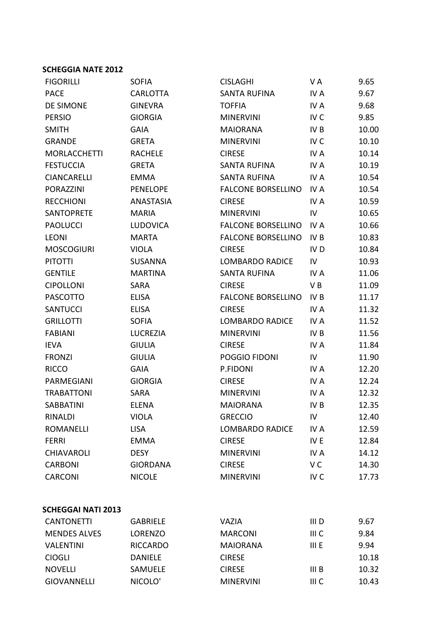| <b>FIGORILLI</b>          | <b>SOFIA</b>    | <b>CISLAGHI</b>           | VA               | 9.65  |
|---------------------------|-----------------|---------------------------|------------------|-------|
| <b>PACE</b>               | <b>CARLOTTA</b> | <b>SANTA RUFINA</b>       | IV A             | 9.67  |
| <b>DE SIMONE</b>          | <b>GINEVRA</b>  | <b>TOFFIA</b>             | <b>IVA</b>       | 9.68  |
| <b>PERSIO</b>             | <b>GIORGIA</b>  | <b>MINERVINI</b>          | IV <sub>C</sub>  | 9.85  |
| <b>SMITH</b>              | <b>GAIA</b>     | <b>MAIORANA</b>           | IV <sub>B</sub>  | 10.00 |
| <b>GRANDE</b>             | <b>GRETA</b>    | <b>MINERVINI</b>          | IV <sub>C</sub>  | 10.10 |
| <b>MORLACCHETTI</b>       | <b>RACHELE</b>  | <b>CIRESE</b>             | IV A             | 10.14 |
| <b>FESTUCCIA</b>          | <b>GRETA</b>    | <b>SANTA RUFINA</b>       | IV A             | 10.19 |
| <b>CIANCARELLI</b>        | <b>EMMA</b>     | <b>SANTA RUFINA</b>       | <b>IVA</b>       | 10.54 |
| <b>PORAZZINI</b>          | <b>PENELOPE</b> | <b>FALCONE BORSELLINO</b> | IV A             | 10.54 |
| <b>RECCHIONI</b>          | ANASTASIA       | <b>CIRESE</b>             | IV A             | 10.59 |
| <b>SANTOPRETE</b>         | <b>MARIA</b>    | <b>MINERVINI</b>          | IV               | 10.65 |
| <b>PAOLUCCI</b>           | <b>LUDOVICA</b> | <b>FALCONE BORSELLINO</b> | IV A             | 10.66 |
| <b>LEONI</b>              | <b>MARTA</b>    | <b>FALCONE BORSELLINO</b> | IV <sub>B</sub>  | 10.83 |
| <b>MOSCOGIURI</b>         | <b>VIOLA</b>    | <b>CIRESE</b>             | IV <sub>D</sub>  | 10.84 |
| <b>PITOTTI</b>            | <b>SUSANNA</b>  | <b>LOMBARDO RADICE</b>    | IV               | 10.93 |
| <b>GENTILE</b>            | <b>MARTINA</b>  | <b>SANTA RUFINA</b>       | IV A             | 11.06 |
| <b>CIPOLLONI</b>          | <b>SARA</b>     | <b>CIRESE</b>             | VB               | 11.09 |
| <b>PASCOTTO</b>           | <b>ELISA</b>    | <b>FALCONE BORSELLINO</b> | IV <sub>B</sub>  | 11.17 |
| <b>SANTUCCI</b>           | <b>ELISA</b>    | <b>CIRESE</b>             | IV A             | 11.32 |
| <b>GRILLOTTI</b>          | <b>SOFIA</b>    | <b>LOMBARDO RADICE</b>    | IV A             | 11.52 |
| <b>FABIANI</b>            | <b>LUCREZIA</b> | <b>MINERVINI</b>          | IV B             | 11.56 |
| <b>IEVA</b>               | <b>GIULIA</b>   | <b>CIRESE</b>             | IV A             | 11.84 |
| <b>FRONZI</b>             | <b>GIULIA</b>   | POGGIO FIDONI             | ${\sf IV}$       | 11.90 |
| <b>RICCO</b>              | <b>GAIA</b>     | P.FIDONI                  | IV A             | 12.20 |
| PARMEGIANI                | <b>GIORGIA</b>  | <b>CIRESE</b>             | IV A             | 12.24 |
| <b>TRABATTONI</b>         | <b>SARA</b>     | <b>MINERVINI</b>          | IV A             | 12.32 |
| <b>SABBATINI</b>          | <b>ELENA</b>    | <b>MAIORANA</b>           | IV B             | 12.35 |
| <b>RINALDI</b>            | <b>VIOLA</b>    | <b>GRECCIO</b>            | IV               | 12.40 |
| <b>ROMANELLI</b>          | <b>LISA</b>     | <b>LOMBARDO RADICE</b>    | IV A             | 12.59 |
| <b>FERRI</b>              | <b>EMMA</b>     | <b>CIRESE</b>             | IV E             | 12.84 |
| <b>CHIAVAROLI</b>         | <b>DESY</b>     | <b>MINERVINI</b>          | IV A             | 14.12 |
| <b>CARBONI</b>            | <b>GIORDANA</b> | <b>CIRESE</b>             | V C              | 14.30 |
| <b>CARCONI</b>            | <b>NICOLE</b>   | <b>MINERVINI</b>          | IV <sub>C</sub>  | 17.73 |
|                           |                 |                           |                  |       |
| <b>SCHEGGAI NATI 2013</b> |                 |                           |                  |       |
| <b>CANTONETTI</b>         | <b>GABRIELE</b> | <b>VAZIA</b>              | III <sub>D</sub> | 9.67  |
| <b>MENDES ALVES</b>       | <b>LORENZO</b>  | <b>MARCONI</b>            | III C            | 9.84  |
| <b>VALENTINI</b>          | <b>RICCARDO</b> | <b>MAIORANA</b>           | III E            | 9.94  |
| <b>CIOGLI</b>             | <b>DANIELE</b>  | <b>CIRESE</b>             |                  | 10.18 |
| <b>NOVELLI</b>            | SAMUELE         | <b>CIRESE</b>             | III <sub>B</sub> | 10.32 |
| <b>GIOVANNELLI</b>        | NICOLO'         | <b>MINERVINI</b>          | III C            | 10.43 |
|                           |                 |                           |                  |       |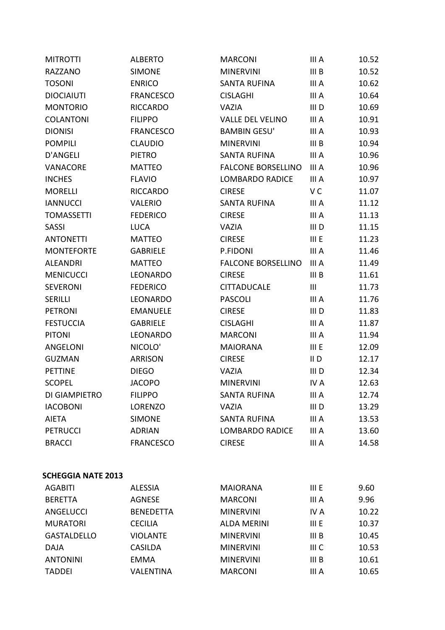| <b>MITROTTI</b>           | <b>ALBERTO</b>   | <b>MARCONI</b>            | III A            | 10.52 |
|---------------------------|------------------|---------------------------|------------------|-------|
| RAZZANO                   | <b>SIMONE</b>    | <b>MINERVINI</b>          | III <sub>B</sub> | 10.52 |
| <b>TOSONI</b>             | <b>ENRICO</b>    | <b>SANTA RUFINA</b>       | III A            | 10.62 |
| <b>DIOCIAIUTI</b>         | <b>FRANCESCO</b> | <b>CISLAGHI</b>           | III A            | 10.64 |
| <b>MONTORIO</b>           | <b>RICCARDO</b>  | <b>VAZIA</b>              | III D            | 10.69 |
| <b>COLANTONI</b>          | <b>FILIPPO</b>   | <b>VALLE DEL VELINO</b>   | III A            | 10.91 |
| <b>DIONISI</b>            | <b>FRANCESCO</b> | <b>BAMBIN GESU'</b>       | III A            | 10.93 |
| <b>POMPILI</b>            | <b>CLAUDIO</b>   | <b>MINERVINI</b>          | III <sub>B</sub> | 10.94 |
| <b>D'ANGELI</b>           | <b>PIETRO</b>    | <b>SANTA RUFINA</b>       | III A            | 10.96 |
| VANACORE                  | <b>MATTEO</b>    | <b>FALCONE BORSELLINO</b> | III A            | 10.96 |
| <b>INCHES</b>             | <b>FLAVIO</b>    | <b>LOMBARDO RADICE</b>    | III A            | 10.97 |
| <b>MORELLI</b>            | <b>RICCARDO</b>  | <b>CIRESE</b>             | V <sub>C</sub>   | 11.07 |
| <b>IANNUCCI</b>           | <b>VALERIO</b>   | <b>SANTA RUFINA</b>       | III A            | 11.12 |
| <b>TOMASSETTI</b>         | <b>FEDERICO</b>  | <b>CIRESE</b>             | III A            | 11.13 |
| <b>SASSI</b>              | <b>LUCA</b>      | <b>VAZIA</b>              | III <sub>D</sub> | 11.15 |
| <b>ANTONETTI</b>          | <b>MATTEO</b>    | <b>CIRESE</b>             | III E            | 11.23 |
| <b>MONTEFORTE</b>         | <b>GABRIELE</b>  | P.FIDONI                  | III A            | 11.46 |
| <b>ALEANDRI</b>           | <b>MATTEO</b>    | <b>FALCONE BORSELLINO</b> | III A            | 11.49 |
| <b>MENICUCCI</b>          | LEONARDO         | <b>CIRESE</b>             | III <sub>B</sub> | 11.61 |
| <b>SEVERONI</b>           | <b>FEDERICO</b>  | <b>CITTADUCALE</b>        | III              | 11.73 |
| <b>SERILLI</b>            | LEONARDO         | <b>PASCOLI</b>            | III A            | 11.76 |
| <b>PETRONI</b>            | <b>EMANUELE</b>  | <b>CIRESE</b>             | III <sub>D</sub> | 11.83 |
| <b>FESTUCCIA</b>          | <b>GABRIELE</b>  | <b>CISLAGHI</b>           | III A            | 11.87 |
| <b>PITONI</b>             | LEONARDO         | <b>MARCONI</b>            | III A            | 11.94 |
| ANGELONI                  | NICOLO'          | <b>MAIORANA</b>           | III E            | 12.09 |
| <b>GUZMAN</b>             | <b>ARRISON</b>   | <b>CIRESE</b>             | $II$ D           | 12.17 |
| <b>PETTINE</b>            | <b>DIEGO</b>     | <b>VAZIA</b>              | III D            | 12.34 |
| <b>SCOPEL</b>             | <b>JACOPO</b>    | <b>MINERVINI</b>          | IV A             | 12.63 |
| DI GIAMPIETRO             | <b>FILIPPO</b>   | <b>SANTA RUFINA</b>       | III A            | 12.74 |
| <b>IACOBONI</b>           | <b>LORENZO</b>   | <b>VAZIA</b>              | III D            | 13.29 |
| <b>AIETA</b>              | <b>SIMONE</b>    | <b>SANTA RUFINA</b>       | III A            | 13.53 |
| <b>PETRUCCI</b>           | <b>ADRIAN</b>    | <b>LOMBARDO RADICE</b>    | III A            | 13.60 |
| <b>BRACCI</b>             | <b>FRANCESCO</b> | <b>CIRESE</b>             | III A            | 14.58 |
|                           |                  |                           |                  |       |
| <b>SCHEGGIA NATE 2013</b> |                  |                           |                  |       |
| <b>AGABITI</b>            | <b>ALESSIA</b>   | <b>MAIORANA</b>           | III E            | 9.60  |
| <b>BERETTA</b>            | <b>AGNESE</b>    | <b>MARCONI</b>            | III A            | 9.96  |
| ANGELUCCI                 | <b>BENEDETTA</b> | <b>MINERVINI</b>          | IV A             | 10.22 |
| <b>MURATORI</b>           | <b>CECILIA</b>   | <b>ALDA MERINI</b>        | III E            | 10.37 |
| <b>GASTALDELLO</b>        | <b>VIOLANTE</b>  | <b>MINERVINI</b>          | III B            | 10.45 |
| <b>DAJA</b>               | <b>CASILDA</b>   | <b>MINERVINI</b>          | III C            | 10.53 |
| <b>ANTONINI</b>           | <b>EMMA</b>      | <b>MINERVINI</b>          | III B            | 10.61 |
| <b>TADDEI</b>             | <b>VALENTINA</b> | <b>MARCONI</b>            | III A            | 10.65 |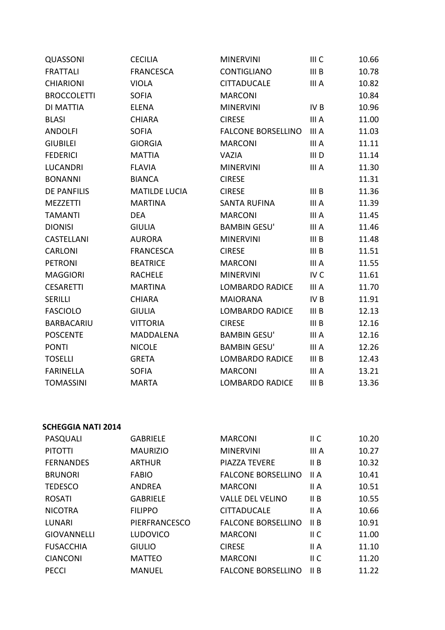| QUASSONI           | <b>CECILIA</b>       | <b>MINERVINI</b>          | III C            | 10.66 |
|--------------------|----------------------|---------------------------|------------------|-------|
| <b>FRATTALI</b>    | <b>FRANCESCA</b>     | CONTIGLIANO               | III <sub>B</sub> | 10.78 |
| <b>CHIARIONI</b>   | <b>VIOLA</b>         | <b>CITTADUCALE</b>        | III A            | 10.82 |
| <b>BROCCOLETTI</b> | <b>SOFIA</b>         | <b>MARCONI</b>            |                  | 10.84 |
| DI MATTIA          | <b>ELENA</b>         | <b>MINERVINI</b>          | IV <sub>B</sub>  | 10.96 |
| <b>BLASI</b>       | <b>CHIARA</b>        | <b>CIRESE</b>             | III A            | 11.00 |
| <b>ANDOLFI</b>     | <b>SOFIA</b>         | <b>FALCONE BORSELLINO</b> | III A            | 11.03 |
| <b>GIUBILEI</b>    | <b>GIORGIA</b>       | <b>MARCONI</b>            | III A            | 11.11 |
| <b>FEDERICI</b>    | <b>MATTIA</b>        | <b>VAZIA</b>              | III D            | 11.14 |
| <b>LUCANDRI</b>    | <b>FLAVIA</b>        | <b>MINERVINI</b>          | III A            | 11.30 |
| <b>BONANNI</b>     | <b>BIANCA</b>        | <b>CIRESE</b>             |                  | 11.31 |
| <b>DE PANFILIS</b> | <b>MATILDE LUCIA</b> | <b>CIRESE</b>             | III B            | 11.36 |
| <b>MEZZETTI</b>    | <b>MARTINA</b>       | <b>SANTA RUFINA</b>       | III A            | 11.39 |
| <b>TAMANTI</b>     | <b>DEA</b>           | <b>MARCONI</b>            | III A            | 11.45 |
| <b>DIONISI</b>     | <b>GIULIA</b>        | <b>BAMBIN GESU'</b>       | III A            | 11.46 |
| CASTELLANI         | <b>AURORA</b>        | <b>MINERVINI</b>          | III <sub>B</sub> | 11.48 |
| <b>CARLONI</b>     | <b>FRANCESCA</b>     | <b>CIRESE</b>             | III <sub>B</sub> | 11.51 |
| <b>PETRONI</b>     | <b>BEATRICE</b>      | <b>MARCONI</b>            | III A            | 11.55 |
| <b>MAGGIORI</b>    | <b>RACHELE</b>       | <b>MINERVINI</b>          | IV <sub>C</sub>  | 11.61 |
| <b>CESARETTI</b>   | <b>MARTINA</b>       | <b>LOMBARDO RADICE</b>    | III A            | 11.70 |
| <b>SERILLI</b>     | <b>CHIARA</b>        | <b>MAIORANA</b>           | IV <sub>B</sub>  | 11.91 |
| <b>FASCIOLO</b>    | <b>GIULIA</b>        | <b>LOMBARDO RADICE</b>    | III <sub>B</sub> | 12.13 |
| <b>BARBACARIU</b>  | <b>VITTORIA</b>      | <b>CIRESE</b>             | III <sub>B</sub> | 12.16 |
| <b>POSCENTE</b>    | MADDALENA            | <b>BAMBIN GESU'</b>       | III A            | 12.16 |
| <b>PONTI</b>       | <b>NICOLE</b>        | <b>BAMBIN GESU'</b>       | III A            | 12.26 |
| <b>TOSELLI</b>     | <b>GRETA</b>         | <b>LOMBARDO RADICE</b>    | III <sub>B</sub> | 12.43 |
| <b>FARINELLA</b>   | <b>SOFIA</b>         | <b>MARCONI</b>            | III A            | 13.21 |
| <b>TOMASSINI</b>   | <b>MARTA</b>         | <b>LOMBARDO RADICE</b>    | III <sub>B</sub> | 13.36 |

| PASQUALI           | <b>GABRIELE</b> | <b>MARCONI</b>            | $\parallel$ C   | 10.20 |
|--------------------|-----------------|---------------------------|-----------------|-------|
| <b>PITOTTI</b>     | <b>MAURIZIO</b> | <b>MINERVINI</b>          | III A           | 10.27 |
| <b>FERNANDES</b>   | <b>ARTHUR</b>   | <b>PIAZZA TEVERE</b>      | II B            | 10.32 |
| <b>BRUNORI</b>     | <b>FABIO</b>    | <b>FALCONE BORSELLINO</b> | II A            | 10.41 |
| <b>TEDESCO</b>     | <b>ANDREA</b>   | <b>MARCONI</b>            | II A            | 10.51 |
| <b>ROSATI</b>      | <b>GABRIELE</b> | <b>VALLE DEL VELINO</b>   | II B            | 10.55 |
| <b>NICOTRA</b>     | <b>FILIPPO</b>  | <b>CITTADUCALE</b>        | II A            | 10.66 |
| LUNARI             | PIERFRANCESCO   | <b>FALCONE BORSELLINO</b> | II B            | 10.91 |
| <b>GIOVANNELLI</b> | <b>LUDOVICO</b> | <b>MARCONI</b>            | II <sub>C</sub> | 11.00 |
| <b>FUSACCHIA</b>   | <b>GIULIO</b>   | <b>CIRESE</b>             | II A            | 11.10 |
| <b>CIANCONI</b>    | <b>MATTEO</b>   | <b>MARCONI</b>            | $\parallel$ C   | 11.20 |
| <b>PECCI</b>       | <b>MANUEL</b>   | <b>FALCONE BORSELLINO</b> | II B            | 11.22 |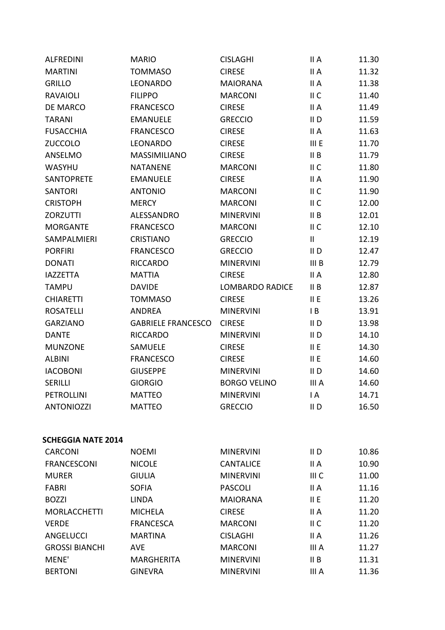| 11.32<br>11.38<br>11.40<br>11.49<br>11.59<br>11.63<br>11.70<br>11.79<br>11.80<br>11.90<br>11.90<br>12.00<br>12.01<br>12.10<br>12.19 |
|-------------------------------------------------------------------------------------------------------------------------------------|
|                                                                                                                                     |
|                                                                                                                                     |
|                                                                                                                                     |
|                                                                                                                                     |
|                                                                                                                                     |
|                                                                                                                                     |
|                                                                                                                                     |
|                                                                                                                                     |
|                                                                                                                                     |
|                                                                                                                                     |
|                                                                                                                                     |
|                                                                                                                                     |
|                                                                                                                                     |
|                                                                                                                                     |
|                                                                                                                                     |
| 12.47                                                                                                                               |
| 12.79                                                                                                                               |
| 12.80                                                                                                                               |
| 12.87                                                                                                                               |
| 13.26                                                                                                                               |
| 13.91                                                                                                                               |
| 13.98                                                                                                                               |
| 14.10                                                                                                                               |
| 14.30                                                                                                                               |
| 14.60                                                                                                                               |
| 14.60                                                                                                                               |
| 14.60                                                                                                                               |
| 14.71                                                                                                                               |
| 16.50                                                                                                                               |
|                                                                                                                                     |
|                                                                                                                                     |
|                                                                                                                                     |
| 10.86                                                                                                                               |
| 10.90                                                                                                                               |
| 11.00                                                                                                                               |
| 11.16                                                                                                                               |
| 11.20                                                                                                                               |
| 11.20                                                                                                                               |
| 11.20                                                                                                                               |
| 11.26                                                                                                                               |
| 11.27                                                                                                                               |
| 11.31                                                                                                                               |
| 11.36                                                                                                                               |
|                                                                                                                                     |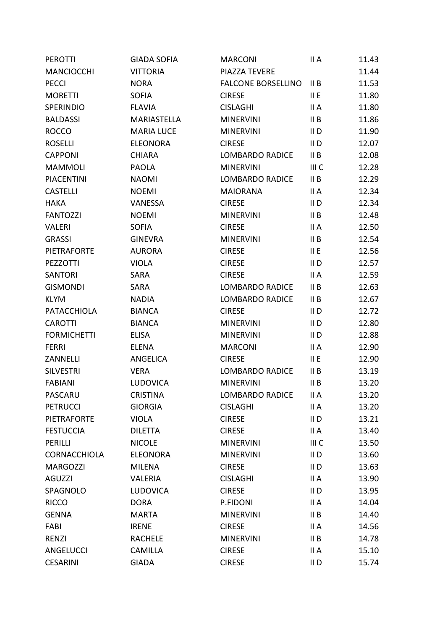| <b>PEROTTI</b>     | <b>GIADA SOFIA</b> | <b>MARCONI</b>            | II A            | 11.43 |
|--------------------|--------------------|---------------------------|-----------------|-------|
| <b>MANCIOCCHI</b>  | <b>VITTORIA</b>    | PIAZZA TEVERE             |                 | 11.44 |
| <b>PECCI</b>       | <b>NORA</b>        | <b>FALCONE BORSELLINO</b> | II B            | 11.53 |
| <b>MORETTI</b>     | <b>SOFIA</b>       | <b>CIRESE</b>             | II E            | 11.80 |
| <b>SPERINDIO</b>   | <b>FLAVIA</b>      | <b>CISLAGHI</b>           | II A            | 11.80 |
| <b>BALDASSI</b>    | <b>MARIASTELLA</b> | <b>MINERVINI</b>          | II B            | 11.86 |
| <b>ROCCO</b>       | <b>MARIA LUCE</b>  | <b>MINERVINI</b>          | II <sub>D</sub> | 11.90 |
| <b>ROSELLI</b>     | <b>ELEONORA</b>    | <b>CIRESE</b>             | II <sub>D</sub> | 12.07 |
| <b>CAPPONI</b>     | <b>CHIARA</b>      | <b>LOMBARDO RADICE</b>    | II B            | 12.08 |
| <b>MAMMOLI</b>     | <b>PAOLA</b>       | <b>MINERVINI</b>          | III C           | 12.28 |
| <b>PIACENTINI</b>  | <b>NAOMI</b>       | <b>LOMBARDO RADICE</b>    | II B            | 12.29 |
| <b>CASTELLI</b>    | <b>NOEMI</b>       | <b>MAIORANA</b>           | II A            | 12.34 |
| <b>HAKA</b>        | VANESSA            | <b>CIRESE</b>             | $II$ D          | 12.34 |
| <b>FANTOZZI</b>    | <b>NOEMI</b>       | <b>MINERVINI</b>          | II B            | 12.48 |
| <b>VALERI</b>      | <b>SOFIA</b>       | <b>CIRESE</b>             | II A            | 12.50 |
| <b>GRASSI</b>      | <b>GINEVRA</b>     | <b>MINERVINI</b>          | II B            | 12.54 |
| PIETRAFORTE        | <b>AURORA</b>      | <b>CIRESE</b>             | II E            | 12.56 |
| PEZZOTTI           | <b>VIOLA</b>       | <b>CIRESE</b>             | $II$ D          | 12.57 |
| <b>SANTORI</b>     | <b>SARA</b>        | <b>CIRESE</b>             | II A            | 12.59 |
| <b>GISMONDI</b>    | <b>SARA</b>        | <b>LOMBARDO RADICE</b>    | II B            | 12.63 |
| <b>KLYM</b>        | <b>NADIA</b>       | <b>LOMBARDO RADICE</b>    | II B            | 12.67 |
| PATACCHIOLA        | <b>BIANCA</b>      | <b>CIRESE</b>             | II <sub>D</sub> | 12.72 |
| <b>CAROTTI</b>     | <b>BIANCA</b>      | <b>MINERVINI</b>          | $II$ D          | 12.80 |
| <b>FORMICHETTI</b> | <b>ELISA</b>       | <b>MINERVINI</b>          | $II$ D          | 12.88 |
| <b>FERRI</b>       | <b>ELENA</b>       | <b>MARCONI</b>            | II A            | 12.90 |
| ZANNELLI           | <b>ANGELICA</b>    | <b>CIRESE</b>             | II E            | 12.90 |
| <b>SILVESTRI</b>   | <b>VERA</b>        | <b>LOMBARDO RADICE</b>    | II B            | 13.19 |
| <b>FABIANI</b>     | <b>LUDOVICA</b>    | <b>MINERVINI</b>          | II B            | 13.20 |
| PASCARU            | <b>CRISTINA</b>    | <b>LOMBARDO RADICE</b>    | II A            | 13.20 |
| <b>PETRUCCI</b>    | <b>GIORGIA</b>     | <b>CISLAGHI</b>           | II A            | 13.20 |
| <b>PIETRAFORTE</b> | <b>VIOLA</b>       | <b>CIRESE</b>             | $II$ D          | 13.21 |
| <b>FESTUCCIA</b>   | <b>DILETTA</b>     | <b>CIRESE</b>             | II A            | 13.40 |
| PERILLI            | <b>NICOLE</b>      | <b>MINERVINI</b>          | III C           | 13.50 |
| CORNACCHIOLA       | <b>ELEONORA</b>    | <b>MINERVINI</b>          | $II$ D          | 13.60 |
| <b>MARGOZZI</b>    | <b>MILENA</b>      | <b>CIRESE</b>             | $II$ D          | 13.63 |
| <b>AGUZZI</b>      | <b>VALERIA</b>     | <b>CISLAGHI</b>           | II A            | 13.90 |
| SPAGNOLO           | <b>LUDOVICA</b>    | <b>CIRESE</b>             | $II$ D          | 13.95 |
| <b>RICCO</b>       | <b>DORA</b>        | P.FIDONI                  | II A            | 14.04 |
| <b>GENNA</b>       | <b>MARTA</b>       | <b>MINERVINI</b>          | II B            | 14.40 |
| FABI               | <b>IRENE</b>       | <b>CIRESE</b>             | II A            | 14.56 |
| <b>RENZI</b>       | <b>RACHELE</b>     | <b>MINERVINI</b>          | II B            | 14.78 |
| <b>ANGELUCCI</b>   | <b>CAMILLA</b>     | <b>CIRESE</b>             | II A            | 15.10 |
| <b>CESARINI</b>    | <b>GIADA</b>       | <b>CIRESE</b>             | $II$ D          | 15.74 |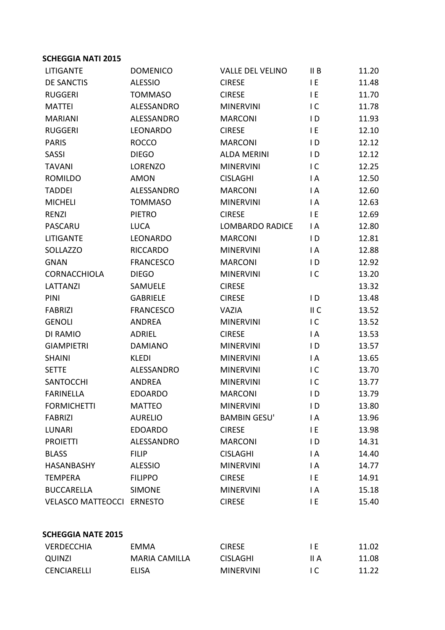| <b>LITIGANTE</b>         | <b>DOMENICO</b>   | <b>VALLE DEL VELINO</b> | II B           | 11.20 |
|--------------------------|-------------------|-------------------------|----------------|-------|
| <b>DE SANCTIS</b>        | <b>ALESSIO</b>    | <b>CIRESE</b>           | I E            | 11.48 |
| <b>RUGGERI</b>           | <b>TOMMASO</b>    | <b>CIRESE</b>           | IE.            | 11.70 |
| <b>MATTEI</b>            | <b>ALESSANDRO</b> | <b>MINERVINI</b>        | IC.            | 11.78 |
| <b>MARIANI</b>           | ALESSANDRO        | <b>MARCONI</b>          | $\overline{D}$ | 11.93 |
| <b>RUGGERI</b>           | LEONARDO          | <b>CIRESE</b>           | I E            | 12.10 |
| <b>PARIS</b>             | <b>ROCCO</b>      | <b>MARCONI</b>          | ID             | 12.12 |
| <b>SASSI</b>             | <b>DIEGO</b>      | <b>ALDA MERINI</b>      | $\overline{D}$ | 12.12 |
| <b>TAVANI</b>            | LORENZO           | <b>MINERVINI</b>        | IC             | 12.25 |
| <b>ROMILDO</b>           | <b>AMON</b>       | <b>CISLAGHI</b>         | $\mathsf{I}$ A | 12.50 |
| <b>TADDEI</b>            | ALESSANDRO        | <b>MARCONI</b>          | IA             | 12.60 |
| <b>MICHELI</b>           | <b>TOMMASO</b>    | <b>MINERVINI</b>        | I A            | 12.63 |
| <b>RENZI</b>             | <b>PIETRO</b>     | <b>CIRESE</b>           | I E            | 12.69 |
| PASCARU                  | <b>LUCA</b>       | <b>LOMBARDO RADICE</b>  | I A            | 12.80 |
| LITIGANTE                | LEONARDO          | <b>MARCONI</b>          | $\mathsf{I}$   | 12.81 |
| <b>SOLLAZZO</b>          | <b>RICCARDO</b>   | <b>MINERVINI</b>        | $\mathsf{I}$ A | 12.88 |
| <b>GNAN</b>              | <b>FRANCESCO</b>  | <b>MARCONI</b>          | $\overline{D}$ | 12.92 |
| CORNACCHIOLA             | <b>DIEGO</b>      | <b>MINERVINI</b>        | IC.            | 13.20 |
| LATTANZI                 | SAMUELE           | <b>CIRESE</b>           |                | 13.32 |
| PINI                     | <b>GABRIELE</b>   | <b>CIRESE</b>           | $\overline{D}$ | 13.48 |
| <b>FABRIZI</b>           | <b>FRANCESCO</b>  | VAZIA                   | II C           | 13.52 |
| <b>GENOLI</b>            | <b>ANDREA</b>     | <b>MINERVINI</b>        | IC             | 13.52 |
| DI RAMIO                 | <b>ADRIEL</b>     | <b>CIRESE</b>           | $\mathsf{I}$ A | 13.53 |
| <b>GIAMPIETRI</b>        | <b>DAMIANO</b>    | <b>MINERVINI</b>        | $\overline{D}$ | 13.57 |
| <b>SHAINI</b>            | <b>KLEDI</b>      | <b>MINERVINI</b>        | $\mathsf{I}$ A | 13.65 |
| <b>SETTE</b>             | ALESSANDRO        | <b>MINERVINI</b>        | $\overline{C}$ | 13.70 |
| <b>SANTOCCHI</b>         | <b>ANDREA</b>     | <b>MINERVINI</b>        | IC             | 13.77 |
| <b>FARINELLA</b>         | <b>EDOARDO</b>    | <b>MARCONI</b>          | ID             | 13.79 |
| <b>FORMICHETTI</b>       | <b>MATTEO</b>     | <b>MINERVINI</b>        | ID             | 13.80 |
| <b>FABRIZI</b>           | <b>AURELIO</b>    | <b>BAMBIN GESU'</b>     | $\mathsf{I}$ A | 13.96 |
| <b>LUNARI</b>            | <b>EDOARDO</b>    | <b>CIRESE</b>           | I E            | 13.98 |
| <b>PROIETTI</b>          | ALESSANDRO        | <b>MARCONI</b>          | ID             | 14.31 |
| <b>BLASS</b>             | <b>FILIP</b>      | <b>CISLAGHI</b>         | I A            | 14.40 |
| <b>HASANBASHY</b>        | <b>ALESSIO</b>    | <b>MINERVINI</b>        | I A            | 14.77 |
| <b>TEMPERA</b>           | <b>FILIPPO</b>    | <b>CIRESE</b>           | ΙE             | 14.91 |
| <b>BUCCARELLA</b>        | <b>SIMONE</b>     | <b>MINERVINI</b>        | I A            | 15.18 |
| <b>VELASCO MATTEOCCI</b> | <b>ERNESTO</b>    | <b>CIRESE</b>           | I E            | 15.40 |
|                          |                   |                         |                |       |

# **SCHEGGIA NATE 2015**

| VERDECCHIA  | EMMA                 | CIRESE           |      | 11.02 |
|-------------|----------------------|------------------|------|-------|
| QUINZI      | <b>MARIA CAMILLA</b> | <b>CISLAGHI</b>  | II A | 11.08 |
| CENCIARELLI | ELISA                | <b>MINERVINI</b> |      | 11.22 |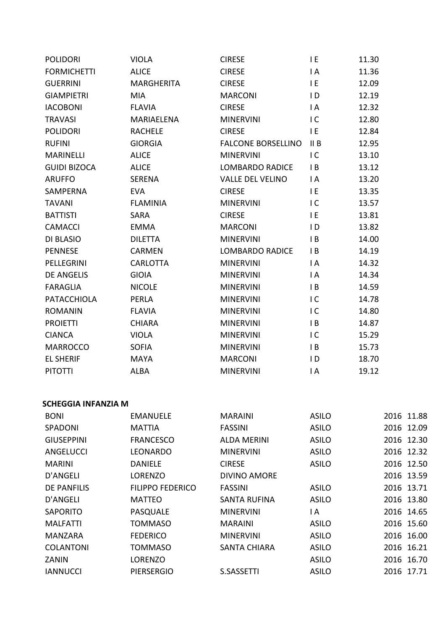| <b>POLIDORI</b>                    | <b>VIOLA</b>                     | <b>CIRESE</b>                           | I E                 | 11.30                    |
|------------------------------------|----------------------------------|-----------------------------------------|---------------------|--------------------------|
| <b>FORMICHETTI</b>                 | <b>ALICE</b>                     | <b>CIRESE</b>                           | I A                 | 11.36                    |
| <b>GUERRINI</b>                    | <b>MARGHERITA</b>                | <b>CIRESE</b>                           | I E                 | 12.09                    |
| <b>GIAMPIETRI</b>                  | <b>MIA</b>                       | <b>MARCONI</b>                          | ID                  | 12.19                    |
| <b>IACOBONI</b>                    | <b>FLAVIA</b>                    | <b>CIRESE</b>                           | I A                 | 12.32                    |
| <b>TRAVASI</b>                     | MARIAELENA                       | <b>MINERVINI</b>                        | $\overline{C}$      | 12.80                    |
| <b>POLIDORI</b>                    | <b>RACHELE</b>                   | <b>CIRESE</b>                           | I E                 | 12.84                    |
| <b>RUFINI</b>                      | <b>GIORGIA</b>                   | <b>FALCONE BORSELLINO</b>               | II B                | 12.95                    |
| <b>MARINELLI</b>                   | <b>ALICE</b>                     | <b>MINERVINI</b>                        | $\overline{C}$      | 13.10                    |
| <b>GUIDI BIZOCA</b>                | <b>ALICE</b>                     | <b>LOMBARDO RADICE</b>                  | $\mathsf{I}$ B      | 13.12                    |
| <b>ARUFFO</b>                      | SERENA                           | <b>VALLE DEL VELINO</b>                 | I A                 | 13.20                    |
| <b>SAMPERNA</b>                    | <b>EVA</b>                       | <b>CIRESE</b>                           | I E                 | 13.35                    |
| <b>TAVANI</b>                      | <b>FLAMINIA</b>                  | <b>MINERVINI</b>                        | IC.                 | 13.57                    |
| <b>BATTISTI</b>                    | SARA                             | <b>CIRESE</b>                           | I E                 | 13.81                    |
| <b>CAMACCI</b>                     | <b>EMMA</b>                      | <b>MARCONI</b>                          | ID                  | 13.82                    |
| DI BLASIO                          | <b>DILETTA</b>                   | <b>MINERVINI</b>                        | I B                 | 14.00                    |
| <b>PENNESE</b>                     | <b>CARMEN</b>                    | <b>LOMBARDO RADICE</b>                  | $\mathsf{I}$ B      | 14.19                    |
| PELLEGRINI                         | <b>CARLOTTA</b>                  | <b>MINERVINI</b>                        | I A                 | 14.32                    |
| <b>DE ANGELIS</b>                  | <b>GIOIA</b>                     | <b>MINERVINI</b>                        | I A                 | 14.34                    |
| <b>FARAGLIA</b>                    | <b>NICOLE</b>                    | <b>MINERVINI</b>                        | I B                 | 14.59                    |
| <b>PATACCHIOLA</b>                 | PERLA                            | <b>MINERVINI</b>                        | IC.                 | 14.78                    |
| <b>ROMANIN</b>                     | <b>FLAVIA</b>                    | <b>MINERVINI</b>                        | IC.                 | 14.80                    |
| <b>PROIETTI</b>                    | <b>CHIARA</b>                    | <b>MINERVINI</b>                        | I B                 | 14.87                    |
| <b>CIANCA</b>                      | <b>VIOLA</b>                     | <b>MINERVINI</b>                        | IC.                 | 15.29                    |
| <b>MARROCCO</b>                    | <b>SOFIA</b>                     | <b>MINERVINI</b>                        | $\mathsf{I}$ B      | 15.73                    |
| <b>EL SHERIF</b>                   | <b>MAYA</b>                      | <b>MARCONI</b>                          | ID.                 | 18.70                    |
| <b>PITOTTI</b>                     | ALBA                             | <b>MINERVINI</b>                        | I A                 | 19.12                    |
| <b>SCHEGGIA INFANZIA M</b>         |                                  |                                         |                     |                          |
| <b>BONI</b>                        |                                  | <b>MARAINI</b>                          | <b>ASILO</b>        | 2016 11.88               |
| SPADONI                            | <b>EMANUELE</b><br><b>MATTIA</b> | <b>FASSINI</b>                          | <b>ASILO</b>        | 2016 12.09               |
| <b>GIUSEPPINI</b>                  | <b>FRANCESCO</b>                 | <b>ALDA MERINI</b>                      | <b>ASILO</b>        | 2016 12.30               |
| ANGELUCCI                          | <b>LEONARDO</b>                  | <b>MINERVINI</b>                        | <b>ASILO</b>        | 2016 12.32               |
| <b>MARINI</b>                      | <b>DANIELE</b>                   | <b>CIRESE</b>                           | <b>ASILO</b>        | 2016 12.50               |
| <b>D'ANGELI</b>                    | <b>LORENZO</b>                   | <b>DIVINO AMORE</b>                     |                     | 2016 13.59               |
| <b>DE PANFILIS</b>                 | <b>FILIPPO FEDERICO</b>          | <b>FASSINI</b>                          | <b>ASILO</b>        | 2016 13.71               |
|                                    |                                  |                                         |                     |                          |
| <b>D'ANGELI</b><br><b>SAPORITO</b> | <b>MATTEO</b>                    | <b>SANTA RUFINA</b><br><b>MINERVINI</b> | <b>ASILO</b><br>I A | 2016 13.80<br>2016 14.65 |
|                                    | PASQUALE                         |                                         |                     |                          |
| <b>MALFATTI</b>                    | <b>TOMMASO</b>                   | <b>MARAINI</b>                          | <b>ASILO</b>        | 2016 15.60<br>2016 16.00 |
| <b>MANZARA</b>                     | <b>FEDERICO</b>                  | <b>MINERVINI</b>                        | <b>ASILO</b>        |                          |
| <b>COLANTONI</b>                   | <b>TOMMASO</b>                   | <b>SANTA CHIARA</b>                     | <b>ASILO</b>        | 2016 16.21               |
| ZANIN                              | LORENZO                          |                                         | <b>ASILO</b>        | 2016 16.70               |
| <b>IANNUCCI</b>                    | <b>PIERSERGIO</b>                | S.SASSETTI                              | <b>ASILO</b>        | 2016 17.71               |